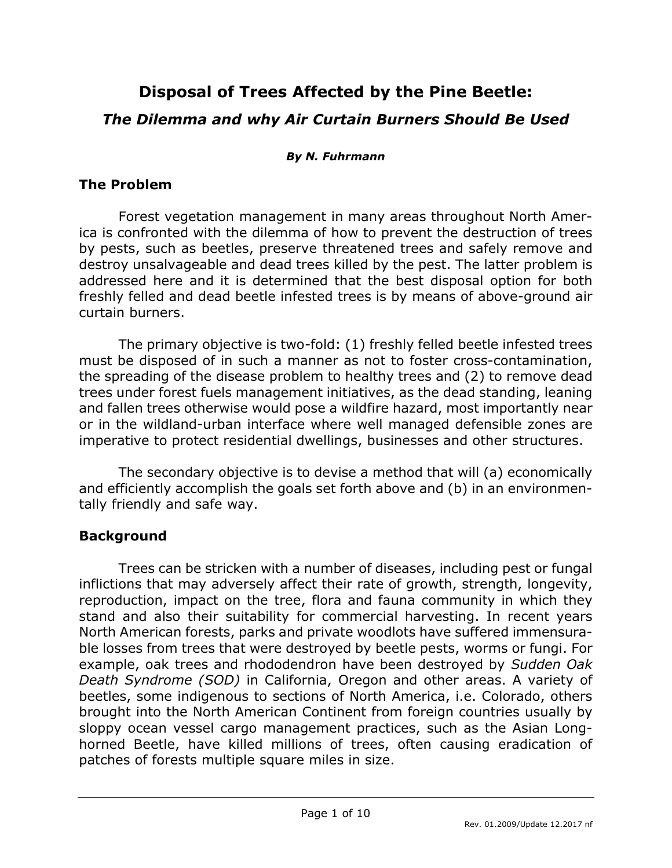# **Disposal of Trees Affected by the Pine Beetle:** *The Dilemma and why Air Curtain Burners Should Be Used*

#### *By N. Fuhrmann*

#### **The Problem**

Forest vegetation management in many areas throughout North America is confronted with the dilemma of how to prevent the destruction of trees by pests, such as beetles, preserve threatened trees and safely remove and destroy unsalvageable and dead trees killed by the pest. The latter problem is addressed here and it is determined that the best disposal option for both freshly felled and dead beetle infested trees is by means of above-ground air curtain burners.

The primary objective is two-fold: (1) freshly felled beetle infested trees must be disposed of in such a manner as not to foster cross-contamination, the spreading of the disease problem to healthy trees and (2) to remove dead trees under forest fuels management initiatives, as the dead standing, leaning and fallen trees otherwise would pose a wildfire hazard, most importantly near or in the wildland-urban interface where well managed defensible zones are imperative to protect residential dwellings, businesses and other structures.

The secondary objective is to devise a method that will (a) economically and efficiently accomplish the goals set forth above and (b) in an environmentally friendly and safe way.

## **Background**

Trees can be stricken with a number of diseases, including pest or fungal inflictions that may adversely affect their rate of growth, strength, longevity, reproduction, impact on the tree, flora and fauna community in which they stand and also their suitability for commercial harvesting. In recent years North American forests, parks and private woodlots have suffered immensurable losses from trees that were destroyed by beetle pests, worms or fungi. For example, oak trees and rhododendron have been destroyed by *Sudden Oak Death Syndrome (SOD)* in California, Oregon and other areas. A variety of beetles, some indigenous to sections of North America, i.e. Colorado, others brought into the North American Continent from foreign countries usually by sloppy ocean vessel cargo management practices, such as the Asian Longhorned Beetle, have killed millions of trees, often causing eradication of patches of forests multiple square miles in size.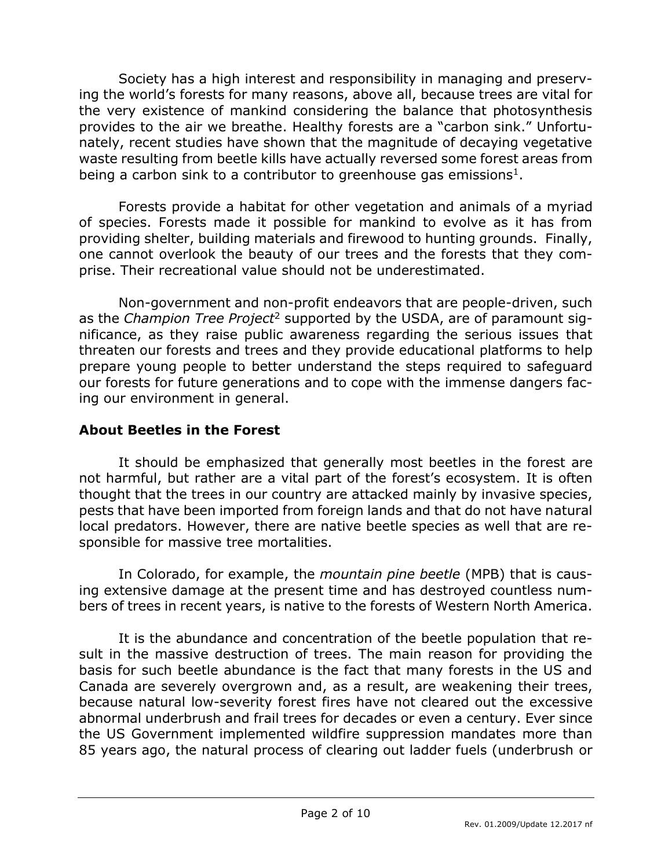Society has a high interest and responsibility in managing and preserving the world's forests for many reasons, above all, because trees are vital for the very existence of mankind considering the balance that photosynthesis provides to the air we breathe. Healthy forests are a "carbon sink." Unfortunately, recent studies have shown that the magnitude of decaying vegetative waste resulting from beetle kills have actually reversed some forest areas from being a carbon sink to a contributor to greenhouse gas emissions<sup>1</sup>.

Forests provide a habitat for other vegetation and animals of a myriad of species. Forests made it possible for mankind to evolve as it has from providing shelter, building materials and firewood to hunting grounds. Finally, one cannot overlook the beauty of our trees and the forests that they comprise. Their recreational value should not be underestimated.

Non-government and non-profit endeavors that are people-driven, such as the *Champion Tree Project*<sup>2</sup> supported by the USDA, are of paramount significance, as they raise public awareness regarding the serious issues that threaten our forests and trees and they provide educational platforms to help prepare young people to better understand the steps required to safeguard our forests for future generations and to cope with the immense dangers facing our environment in general.

# **About Beetles in the Forest**

It should be emphasized that generally most beetles in the forest are not harmful, but rather are a vital part of the forest's ecosystem. It is often thought that the trees in our country are attacked mainly by invasive species, pests that have been imported from foreign lands and that do not have natural local predators. However, there are native beetle species as well that are responsible for massive tree mortalities.

In Colorado, for example, the *mountain pine beetle* (MPB) that is causing extensive damage at the present time and has destroyed countless numbers of trees in recent years, is native to the forests of Western North America.

It is the abundance and concentration of the beetle population that result in the massive destruction of trees. The main reason for providing the basis for such beetle abundance is the fact that many forests in the US and Canada are severely overgrown and, as a result, are weakening their trees, because natural low-severity forest fires have not cleared out the excessive abnormal underbrush and frail trees for decades or even a century. Ever since the US Government implemented wildfire suppression mandates more than 85 years ago, the natural process of clearing out ladder fuels (underbrush or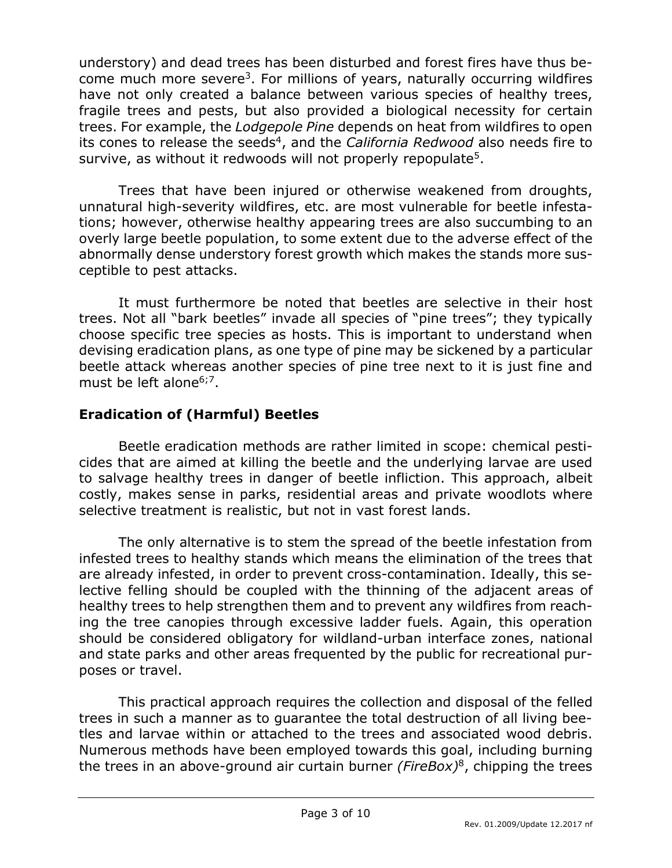understory) and dead trees has been disturbed and forest fires have thus become much more severe<sup>3</sup>. For millions of years, naturally occurring wildfires have not only created a balance between various species of healthy trees, fragile trees and pests, but also provided a biological necessity for certain trees. For example, the *Lodgepole Pine* depends on heat from wildfires to open its cones to release the seeds<sup>4</sup>, and the *California Redwood* also needs fire to survive, as without it redwoods will not properly repopulate<sup>5</sup>.

Trees that have been injured or otherwise weakened from droughts, unnatural high-severity wildfires, etc. are most vulnerable for beetle infestations; however, otherwise healthy appearing trees are also succumbing to an overly large beetle population, to some extent due to the adverse effect of the abnormally dense understory forest growth which makes the stands more susceptible to pest attacks.

It must furthermore be noted that beetles are selective in their host trees. Not all "bark beetles" invade all species of "pine trees"; they typically choose specific tree species as hosts. This is important to understand when devising eradication plans, as one type of pine may be sickened by a particular beetle attack whereas another species of pine tree next to it is just fine and must be left alone<sup>6;7</sup>.

# **Eradication of (Harmful) Beetles**

Beetle eradication methods are rather limited in scope: chemical pesticides that are aimed at killing the beetle and the underlying larvae are used to salvage healthy trees in danger of beetle infliction. This approach, albeit costly, makes sense in parks, residential areas and private woodlots where selective treatment is realistic, but not in vast forest lands.

The only alternative is to stem the spread of the beetle infestation from infested trees to healthy stands which means the elimination of the trees that are already infested, in order to prevent cross-contamination. Ideally, this selective felling should be coupled with the thinning of the adjacent areas of healthy trees to help strengthen them and to prevent any wildfires from reaching the tree canopies through excessive ladder fuels. Again, this operation should be considered obligatory for wildland-urban interface zones, national and state parks and other areas frequented by the public for recreational purposes or travel.

This practical approach requires the collection and disposal of the felled trees in such a manner as to guarantee the total destruction of all living beetles and larvae within or attached to the trees and associated wood debris. Numerous methods have been employed towards this goal, including burning the trees in an above-ground air curtain burner *(FireBox)*<sup>8</sup> , chipping the trees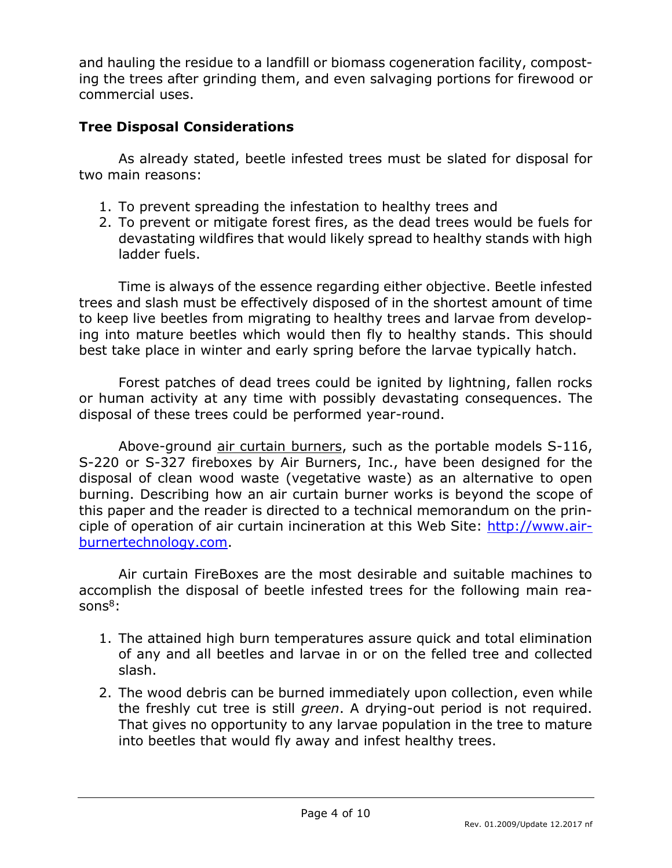and hauling the residue to a landfill or biomass cogeneration facility, composting the trees after grinding them, and even salvaging portions for firewood or commercial uses.

# **Tree Disposal Considerations**

As already stated, beetle infested trees must be slated for disposal for two main reasons:

- 1. To prevent spreading the infestation to healthy trees and
- 2. To prevent or mitigate forest fires, as the dead trees would be fuels for devastating wildfires that would likely spread to healthy stands with high ladder fuels.

Time is always of the essence regarding either objective. Beetle infested trees and slash must be effectively disposed of in the shortest amount of time to keep live beetles from migrating to healthy trees and larvae from developing into mature beetles which would then fly to healthy stands. This should best take place in winter and early spring before the larvae typically hatch.

Forest patches of dead trees could be ignited by lightning, fallen rocks or human activity at any time with possibly devastating consequences. The disposal of these trees could be performed year-round.

Above-ground air curtain burners, such as the portable models S-116, S-220 or S-327 fireboxes by Air Burners, Inc., have been designed for the disposal of clean wood waste (vegetative waste) as an alternative to open burning. Describing how an air curtain burner works is beyond the scope of this paper and the reader is directed to a technical memorandum on the principle of operation of air curtain incineration at this Web Site: [http://www.air](http://www.airburnertechnology.com/)[burnertechnology.com.](http://www.airburnertechnology.com/)

Air curtain FireBoxes are the most desirable and suitable machines to accomplish the disposal of beetle infested trees for the following main reasons $8$ :

- 1. The attained high burn temperatures assure quick and total elimination of any and all beetles and larvae in or on the felled tree and collected slash.
- 2. The wood debris can be burned immediately upon collection, even while the freshly cut tree is still *green*. A drying-out period is not required. That gives no opportunity to any larvae population in the tree to mature into beetles that would fly away and infest healthy trees.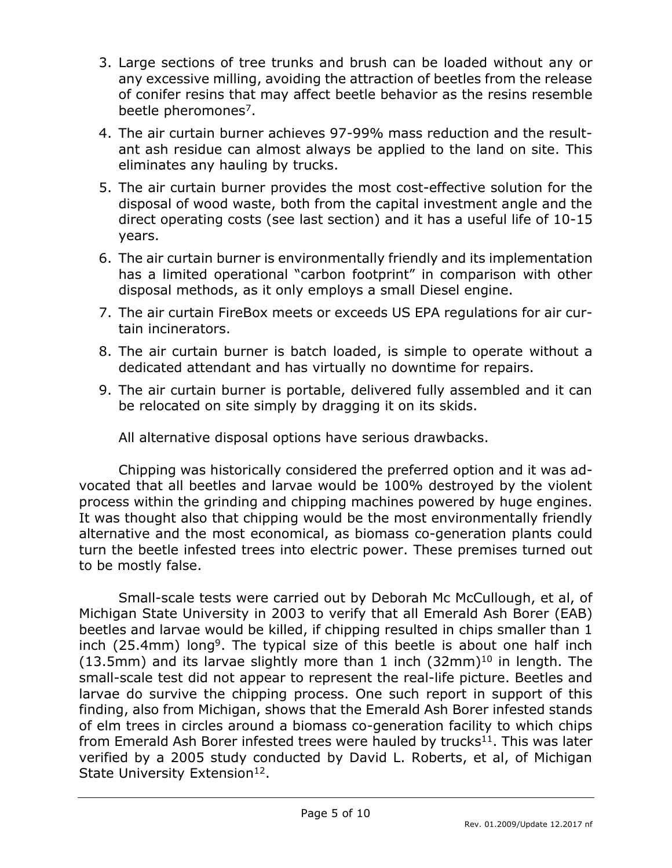- 3. Large sections of tree trunks and brush can be loaded without any or any excessive milling, avoiding the attraction of beetles from the release of conifer resins that may affect beetle behavior as the resins resemble beetle pheromones<sup>7</sup>.
- 4. The air curtain burner achieves 97-99% mass reduction and the resultant ash residue can almost always be applied to the land on site. This eliminates any hauling by trucks.
- 5. The air curtain burner provides the most cost-effective solution for the disposal of wood waste, both from the capital investment angle and the direct operating costs (see last section) and it has a useful life of 10-15 years.
- 6. The air curtain burner is environmentally friendly and its implementation has a limited operational "carbon footprint" in comparison with other disposal methods, as it only employs a small Diesel engine.
- 7. The air curtain FireBox meets or exceeds US EPA regulations for air curtain incinerators.
- 8. The air curtain burner is batch loaded, is simple to operate without a dedicated attendant and has virtually no downtime for repairs.
- 9. The air curtain burner is portable, delivered fully assembled and it can be relocated on site simply by dragging it on its skids.

All alternative disposal options have serious drawbacks.

Chipping was historically considered the preferred option and it was advocated that all beetles and larvae would be 100% destroyed by the violent process within the grinding and chipping machines powered by huge engines. It was thought also that chipping would be the most environmentally friendly alternative and the most economical, as biomass co-generation plants could turn the beetle infested trees into electric power. These premises turned out to be mostly false.

Small-scale tests were carried out by Deborah Mc McCullough, et al, of Michigan State University in 2003 to verify that all Emerald Ash Borer (EAB) beetles and larvae would be killed, if chipping resulted in chips smaller than 1 inch (25.4mm) long<sup>9</sup>. The typical size of this beetle is about one half inch (13.5mm) and its larvae slightly more than 1 inch  $(32mm)^{10}$  in length. The small-scale test did not appear to represent the real-life picture. Beetles and larvae do survive the chipping process. One such report in support of this finding, also from Michigan, shows that the Emerald Ash Borer infested stands of elm trees in circles around a biomass co-generation facility to which chips from Emerald Ash Borer infested trees were hauled by trucks $^{11}$ . This was later verified by a 2005 study conducted by David L. Roberts, et al, of Michigan State University Extension<sup>12</sup>.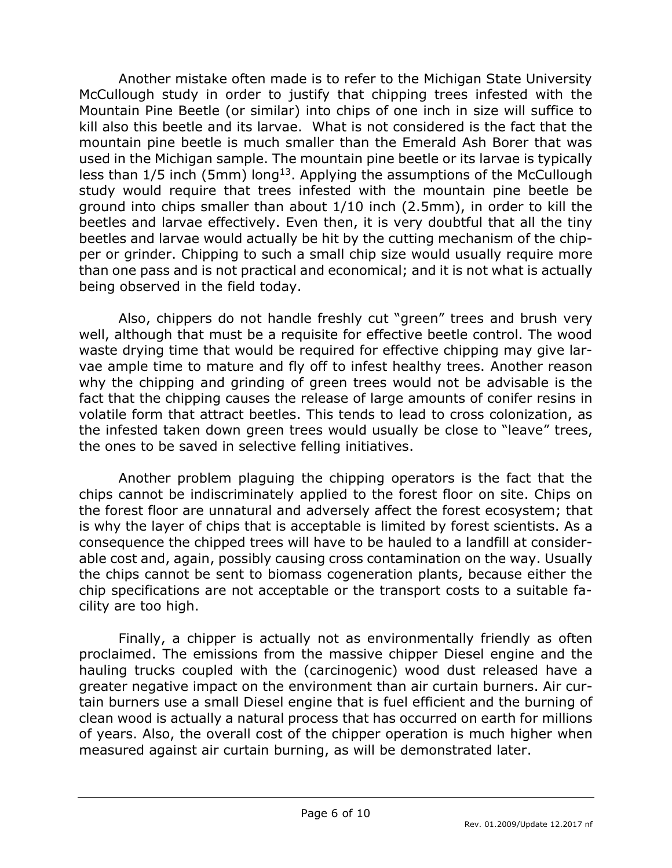Another mistake often made is to refer to the Michigan State University McCullough study in order to justify that chipping trees infested with the Mountain Pine Beetle (or similar) into chips of one inch in size will suffice to kill also this beetle and its larvae. What is not considered is the fact that the mountain pine beetle is much smaller than the Emerald Ash Borer that was used in the Michigan sample. The mountain pine beetle or its larvae is typically less than  $1/5$  inch (5mm) long<sup>13</sup>. Applying the assumptions of the McCullough study would require that trees infested with the mountain pine beetle be ground into chips smaller than about 1/10 inch (2.5mm), in order to kill the beetles and larvae effectively. Even then, it is very doubtful that all the tiny beetles and larvae would actually be hit by the cutting mechanism of the chipper or grinder. Chipping to such a small chip size would usually require more than one pass and is not practical and economical; and it is not what is actually being observed in the field today.

Also, chippers do not handle freshly cut "green" trees and brush very well, although that must be a requisite for effective beetle control. The wood waste drying time that would be required for effective chipping may give larvae ample time to mature and fly off to infest healthy trees. Another reason why the chipping and grinding of green trees would not be advisable is the fact that the chipping causes the release of large amounts of conifer resins in volatile form that attract beetles. This tends to lead to cross colonization, as the infested taken down green trees would usually be close to "leave" trees, the ones to be saved in selective felling initiatives.

Another problem plaguing the chipping operators is the fact that the chips cannot be indiscriminately applied to the forest floor on site. Chips on the forest floor are unnatural and adversely affect the forest ecosystem; that is why the layer of chips that is acceptable is limited by forest scientists. As a consequence the chipped trees will have to be hauled to a landfill at considerable cost and, again, possibly causing cross contamination on the way. Usually the chips cannot be sent to biomass cogeneration plants, because either the chip specifications are not acceptable or the transport costs to a suitable facility are too high.

Finally, a chipper is actually not as environmentally friendly as often proclaimed. The emissions from the massive chipper Diesel engine and the hauling trucks coupled with the (carcinogenic) wood dust released have a greater negative impact on the environment than air curtain burners. Air curtain burners use a small Diesel engine that is fuel efficient and the burning of clean wood is actually a natural process that has occurred on earth for millions of years. Also, the overall cost of the chipper operation is much higher when measured against air curtain burning, as will be demonstrated later.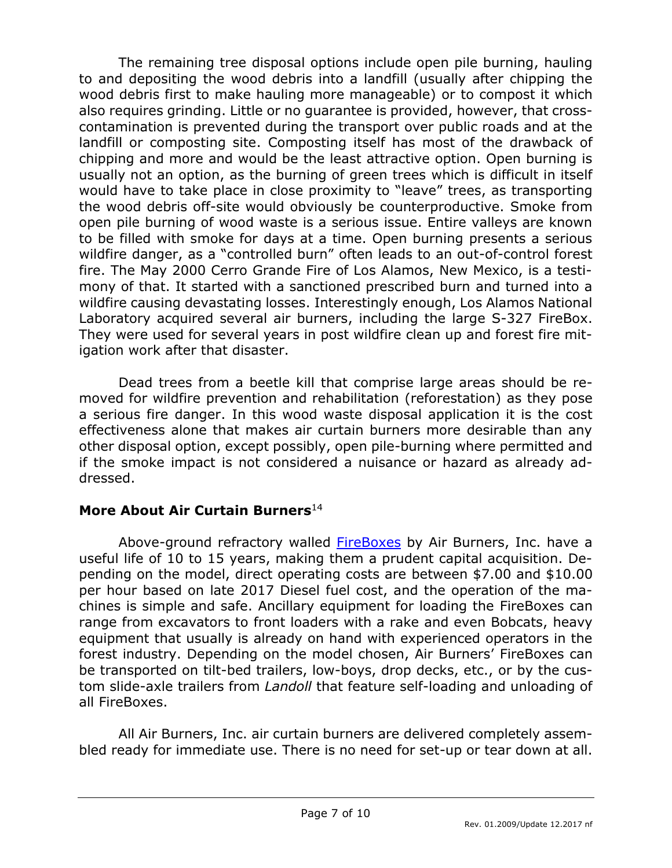The remaining tree disposal options include open pile burning, hauling to and depositing the wood debris into a landfill (usually after chipping the wood debris first to make hauling more manageable) or to compost it which also requires grinding. Little or no guarantee is provided, however, that crosscontamination is prevented during the transport over public roads and at the landfill or composting site. Composting itself has most of the drawback of chipping and more and would be the least attractive option. Open burning is usually not an option, as the burning of green trees which is difficult in itself would have to take place in close proximity to "leave" trees, as transporting the wood debris off-site would obviously be counterproductive. Smoke from open pile burning of wood waste is a serious issue. Entire valleys are known to be filled with smoke for days at a time. Open burning presents a serious wildfire danger, as a "controlled burn" often leads to an out-of-control forest fire. The May 2000 Cerro Grande Fire of Los Alamos, New Mexico, is a testimony of that. It started with a sanctioned prescribed burn and turned into a wildfire causing devastating losses. Interestingly enough, Los Alamos National Laboratory acquired several air burners, including the large S-327 FireBox. They were used for several years in post wildfire clean up and forest fire mitigation work after that disaster.

Dead trees from a beetle kill that comprise large areas should be removed for wildfire prevention and rehabilitation (reforestation) as they pose a serious fire danger. In this wood waste disposal application it is the cost effectiveness alone that makes air curtain burners more desirable than any other disposal option, except possibly, open pile-burning where permitted and if the smoke impact is not considered a nuisance or hazard as already addressed.

## **More About Air Curtain Burners**<sup>14</sup>

Above-ground refractory walled **FireBoxes** by Air Burners, Inc. have a useful life of 10 to 15 years, making them a prudent capital acquisition. Depending on the model, direct operating costs are between \$7.00 and \$10.00 per hour based on late 2017 Diesel fuel cost, and the operation of the machines is simple and safe. Ancillary equipment for loading the FireBoxes can range from excavators to front loaders with a rake and even Bobcats, heavy equipment that usually is already on hand with experienced operators in the forest industry. Depending on the model chosen, Air Burners' FireBoxes can be transported on tilt-bed trailers, low-boys, drop decks, etc., or by the custom slide-axle trailers from *Landoll* that feature self-loading and unloading of all FireBoxes.

All Air Burners, Inc. air curtain burners are delivered completely assembled ready for immediate use. There is no need for set-up or tear down at all.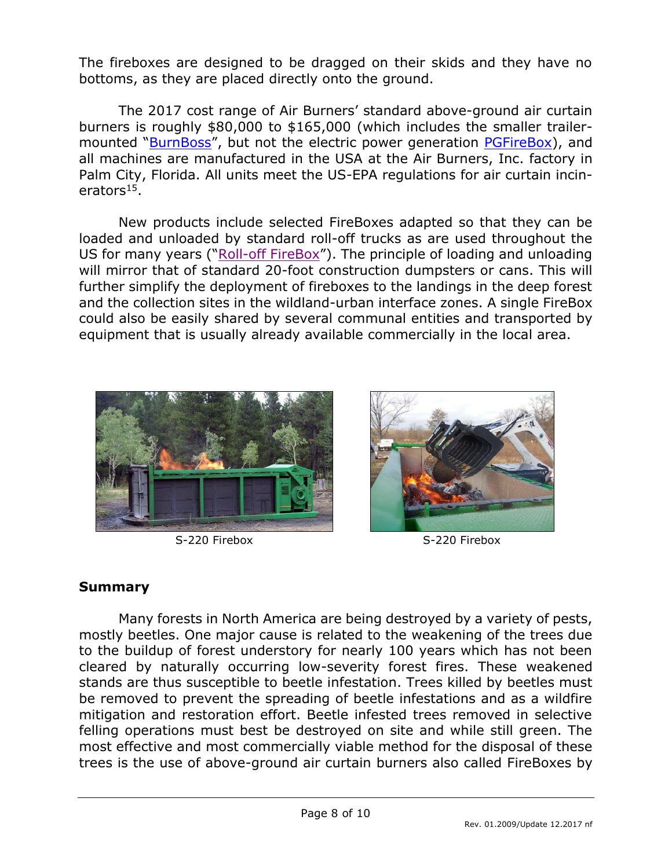The fireboxes are designed to be dragged on their skids and they have no bottoms, as they are placed directly onto the ground.

The 2017 cost range of Air Burners' standard above-ground air curtain burners is roughly \$80,000 to \$165,000 (which includes the smaller trailer-mounted "[BurnBoss](http://www.burnboss.com/)", but not the electric power generation [PGFireBox\)](http://www.pgfirebox.com/), and all machines are manufactured in the USA at the Air Burners, Inc. factory in Palm City, Florida. All units meet the US-EPA regulations for air curtain incinerators<sup>15</sup>.

New products include selected FireBoxes adapted so that they can be loaded and unloaded by standard roll-off trucks as are used throughout the US for many years ("Roll-off [FireBox](https://www.rofirebox.com/)"). The principle of loading and unloading will mirror that of standard 20-foot construction dumpsters or cans. This will further simplify the deployment of fireboxes to the landings in the deep forest and the collection sites in the wildland-urban interface zones. A single FireBox could also be easily shared by several communal entities and transported by equipment that is usually already available commercially in the local area.





S-220 Firebox S-220 Firebox

## **Summary**

Many forests in North America are being destroyed by a variety of pests, mostly beetles. One major cause is related to the weakening of the trees due to the buildup of forest understory for nearly 100 years which has not been cleared by naturally occurring low-severity forest fires. These weakened stands are thus susceptible to beetle infestation. Trees killed by beetles must be removed to prevent the spreading of beetle infestations and as a wildfire mitigation and restoration effort. Beetle infested trees removed in selective felling operations must best be destroyed on site and while still green. The most effective and most commercially viable method for the disposal of these trees is the use of above-ground air curtain burners also called FireBoxes by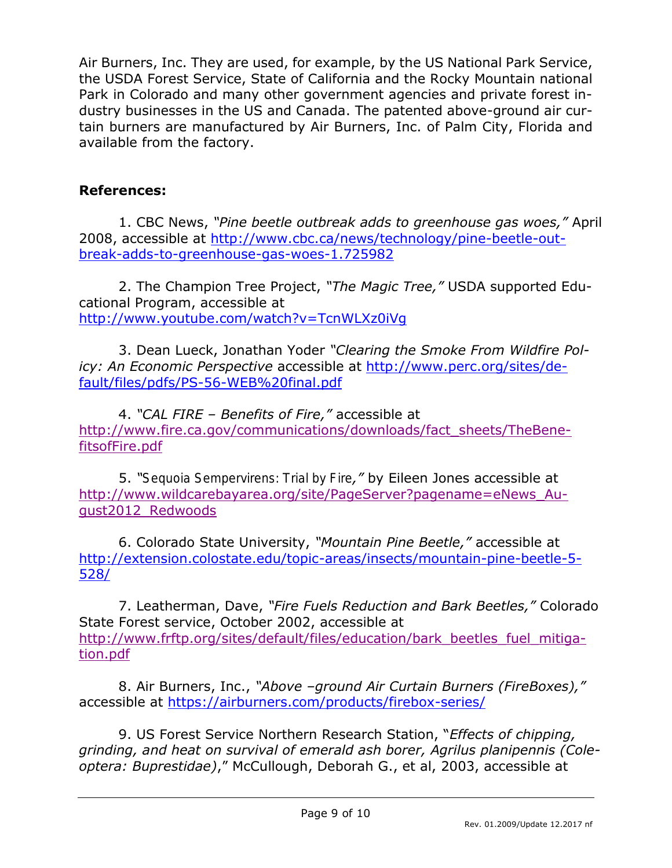Air Burners, Inc. They are used, for example, by the US National Park Service, the USDA Forest Service, State of California and the Rocky Mountain national Park in Colorado and many other government agencies and private forest industry businesses in the US and Canada. The patented above-ground air curtain burners are manufactured by Air Burners, Inc. of Palm City, Florida and available from the factory.

# **References:**

1. CBC News, *"Pine beetle outbreak adds to greenhouse gas woes,"* April 2008, accessible at [http://www.cbc.ca/news/technology/pine-beetle-out](http://www.cbc.ca/news/technology/pine-beetle-outbreak-adds-to-greenhouse-gas-woes-1.725982)[break-adds-to-greenhouse-gas-woes-1.725982](http://www.cbc.ca/news/technology/pine-beetle-outbreak-adds-to-greenhouse-gas-woes-1.725982)

2. The Champion Tree Project, *"The Magic Tree,"* USDA supported Educational Program, accessible at <http://www.youtube.com/watch?v=TcnWLXz0iVg>

3. Dean Lueck, Jonathan Yoder *"Clearing the Smoke From Wildfire Policy: An Economic Perspective* accessible at [http://www.perc.org/sites/de](http://www.perc.org/sites/default/files/pdfs/PS-56-WEB%20final.pdf)[fault/files/pdfs/PS-56-WEB%20final.pdf](http://www.perc.org/sites/default/files/pdfs/PS-56-WEB%20final.pdf)

4. *"CAL FIRE – Benefits of Fire,"* accessible at [http://www.fire.ca.gov/communications/downloads/fact\\_sheets/TheBene](http://www.fire.ca.gov/communications/downloads/fact_sheets/TheBenefitsofFire.pdf)[fitsofFire.pdf](http://www.fire.ca.gov/communications/downloads/fact_sheets/TheBenefitsofFire.pdf)

5. *"Sequoia Sempervirens: Trial by Fire,"* by Eileen Jones accessible at [http://www.wildcarebayarea.org/site/PageServer?pagename=eNews\\_Au](http://www.wildcarebayarea.org/site/PageServer?pagename=eNews_August2012_Redwoods)[gust2012\\_Redwoods](http://www.wildcarebayarea.org/site/PageServer?pagename=eNews_August2012_Redwoods)

6. Colorado State University, *"Mountain Pine Beetle,"* accessible at [http://extension.colostate.edu/topic-areas/insects/mountain-pine-beetle-5-](http://extension.colostate.edu/topic-areas/insects/mountain-pine-beetle-5-528/) [528/](http://extension.colostate.edu/topic-areas/insects/mountain-pine-beetle-5-528/)

7. Leatherman, Dave, *"Fire Fuels Reduction and Bark Beetles,"* Colorado State Forest service, October 2002, accessible at [http://www.frftp.org/sites/default/files/education/bark\\_beetles\\_fuel\\_mitiga](http://www.frftp.org/sites/default/files/education/bark_beetles_fuel_mitigation.pdf)[tion.pdf](http://www.frftp.org/sites/default/files/education/bark_beetles_fuel_mitigation.pdf)

8. Air Burners, Inc., *"Above –ground Air Curtain Burners (FireBoxes),"*  accessible at<https://airburners.com/products/firebox-series/>

9. US Forest Service Northern Research Station, "*Effects of chipping, grinding, and heat on survival of emerald ash borer, Agrilus planipennis (Coleoptera: Buprestidae)*," McCullough, Deborah G., et al, 2003, accessible at